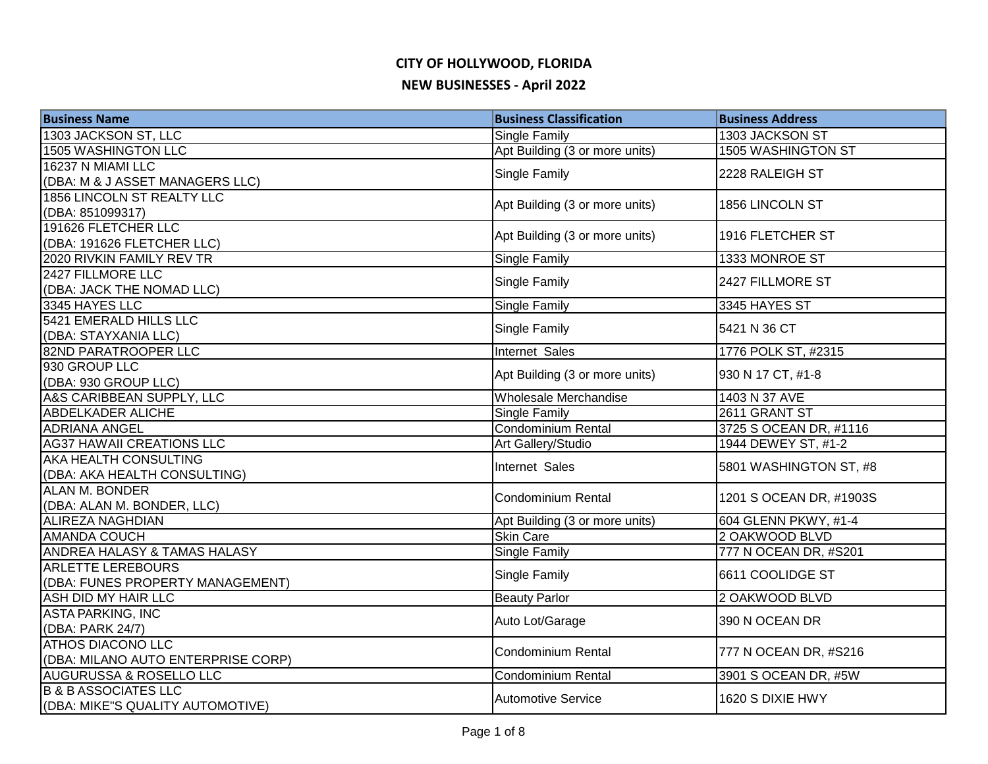| <b>Business Name</b>                                    | <b>Business Classification</b> | <b>Business Address</b> |
|---------------------------------------------------------|--------------------------------|-------------------------|
| 1303 JACKSON ST, LLC                                    | Single Family                  | 1303 JACKSON ST         |
| 1505 WASHINGTON LLC                                     | Apt Building (3 or more units) | 1505 WASHINGTON ST      |
| 16237 N MIAMI LLC                                       | Single Family                  | 2228 RALEIGH ST         |
| (DBA: M & J ASSET MANAGERS LLC)                         |                                |                         |
| 1856 LINCOLN ST REALTY LLC                              | Apt Building (3 or more units) | 1856 LINCOLN ST         |
| (DBA: 851099317)                                        |                                |                         |
| 191626 FLETCHER LLC                                     | Apt Building (3 or more units) | 1916 FLETCHER ST        |
| (DBA: 191626 FLETCHER LLC)                              |                                |                         |
| 2020 RIVKIN FAMILY REV TR                               | Single Family                  | 1333 MONROE ST          |
| 2427 FILLMORE LLC                                       | <b>Single Family</b>           | 2427 FILLMORE ST        |
| (DBA: JACK THE NOMAD LLC)                               |                                |                         |
| 3345 HAYES LLC                                          | Single Family                  | 3345 HAYES ST           |
| 5421 EMERALD HILLS LLC                                  | Single Family                  | 5421 N 36 CT            |
| (DBA: STAYXANIA LLC)                                    |                                |                         |
| 82ND PARATROOPER LLC                                    | Internet Sales                 | 1776 POLK ST, #2315     |
| 930 GROUP LLC                                           | Apt Building (3 or more units) | 930 N 17 CT, #1-8       |
| (DBA: 930 GROUP LLC)                                    |                                |                         |
| A&S CARIBBEAN SUPPLY, LLC                               | Wholesale Merchandise          | 1403 N 37 AVE           |
| <b>ABDELKADER ALICHE</b>                                | Single Family                  | 2611 GRANT ST           |
| <b>ADRIANA ANGEL</b>                                    | Condominium Rental             | 3725 S OCEAN DR, #1116  |
| <b>AG37 HAWAII CREATIONS LLC</b>                        | Art Gallery/Studio             | 1944 DEWEY ST, #1-2     |
| AKA HEALTH CONSULTING                                   | Internet Sales                 | 5801 WASHINGTON ST, #8  |
| (DBA: AKA HEALTH CONSULTING)                            |                                |                         |
| ALAN M. BONDER                                          | <b>Condominium Rental</b>      | 1201 S OCEAN DR, #1903S |
| (DBA: ALAN M. BONDER, LLC)                              |                                |                         |
| <b>ALIREZA NAGHDIAN</b>                                 | Apt Building (3 or more units) | 604 GLENN PKWY, #1-4    |
| <b>AMANDA COUCH</b>                                     | <b>Skin Care</b>               | 2 OAKWOOD BLVD          |
| <b>ANDREA HALASY &amp; TAMAS HALASY</b>                 | Single Family                  | 777 N OCEAN DR, #S201   |
| <b>ARLETTE LEREBOURS</b>                                | Single Family                  | 6611 COOLIDGE ST        |
| (DBA: FUNES PROPERTY MANAGEMENT)<br>ASH DID MY HAIR LLC | <b>Beauty Parlor</b>           | 2 OAKWOOD BLVD          |
| <b>ASTA PARKING, INC</b>                                |                                |                         |
| (DBA: PARK 24/7)                                        | Auto Lot/Garage                | 390 N OCEAN DR          |
| <b>ATHOS DIACONO LLC</b>                                |                                |                         |
| (DBA: MILANO AUTO ENTERPRISE CORP)                      | <b>Condominium Rental</b>      | 777 N OCEAN DR, #S216   |
| <b>AUGURUSSA &amp; ROSELLO LLC</b>                      | Condominium Rental             | 3901 S OCEAN DR, #5W    |
| <b>B &amp; B ASSOCIATES LLC</b>                         |                                |                         |
| (DBA: MIKE"S QUALITY AUTOMOTIVE)                        | <b>Automotive Service</b>      | 1620 S DIXIE HWY        |
|                                                         |                                |                         |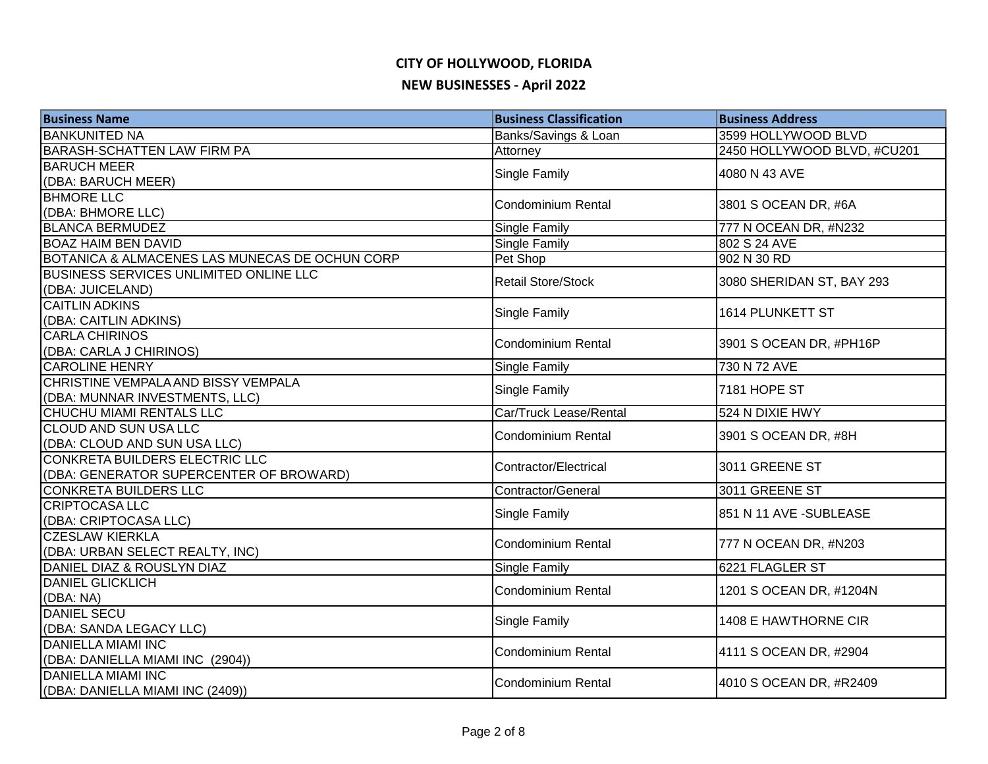| <b>Business Name</b>                                           | <b>Business Classification</b> | <b>Business Address</b>     |
|----------------------------------------------------------------|--------------------------------|-----------------------------|
| <b>BANKUNITED NA</b>                                           | Banks/Savings & Loan           | 3599 HOLLYWOOD BLVD         |
| <b>BARASH-SCHATTEN LAW FIRM PA</b>                             | Attorney                       | 2450 HOLLYWOOD BLVD, #CU201 |
| <b>BARUCH MEER</b>                                             | Single Family                  | 4080 N 43 AVE               |
| (DBA: BARUCH MEER)                                             |                                |                             |
| <b>BHMORE LLC</b>                                              | <b>Condominium Rental</b>      | 3801 S OCEAN DR, #6A        |
| (DBA: BHMORE LLC)                                              |                                |                             |
| <b>BLANCA BERMUDEZ</b>                                         | Single Family                  | 777 N OCEAN DR, #N232       |
| <b>BOAZ HAIM BEN DAVID</b>                                     | Single Family                  | 802 S 24 AVE                |
| BOTANICA & ALMACENES LAS MUNECAS DE OCHUN CORP                 | Pet Shop                       | 902 N 30 RD                 |
| <b>BUSINESS SERVICES UNLIMITED ONLINE LLC</b>                  | <b>Retail Store/Stock</b>      | 3080 SHERIDAN ST, BAY 293   |
| (DBA: JUICELAND)                                               |                                |                             |
| <b>CAITLIN ADKINS</b>                                          | Single Family                  | 1614 PLUNKETT ST            |
| (DBA: CAITLIN ADKINS)                                          |                                |                             |
| <b>CARLA CHIRINOS</b>                                          | <b>Condominium Rental</b>      | 3901 S OCEAN DR, #PH16P     |
| (DBA: CARLA J CHIRINOS)                                        |                                |                             |
| <b>CAROLINE HENRY</b>                                          | <b>Single Family</b>           | 730 N 72 AVE                |
| CHRISTINE VEMPALA AND BISSY VEMPALA                            | <b>Single Family</b>           | 7181 HOPE ST                |
| (DBA: MUNNAR INVESTMENTS, LLC)                                 |                                |                             |
| CHUCHU MIAMI RENTALS LLC<br><b>CLOUD AND SUN USA LLC</b>       | Car/Truck Lease/Rental         | 524 N DIXIE HWY             |
|                                                                | <b>Condominium Rental</b>      | 3901 S OCEAN DR, #8H        |
| (DBA: CLOUD AND SUN USA LLC)<br>CONKRETA BUILDERS ELECTRIC LLC |                                |                             |
| (DBA: GENERATOR SUPERCENTER OF BROWARD)                        | Contractor/Electrical          | 3011 GREENE ST              |
| <b>CONKRETA BUILDERS LLC</b>                                   | Contractor/General             | 3011 GREENE ST              |
| <b>CRIPTOCASA LLC</b>                                          |                                |                             |
| (DBA: CRIPTOCASA LLC)                                          | Single Family                  | 851 N 11 AVE - SUBLEASE     |
| <b>CZESLAW KIERKLA</b>                                         |                                |                             |
| (DBA: URBAN SELECT REALTY, INC)                                | <b>Condominium Rental</b>      | 777 N OCEAN DR, #N203       |
| DANIEL DIAZ & ROUSLYN DIAZ                                     | Single Family                  | 6221 FLAGLER ST             |
| <b>DANIEL GLICKLICH</b>                                        |                                |                             |
| (DBA: NA)                                                      | Condominium Rental             | 1201 S OCEAN DR, #1204N     |
| <b>DANIEL SECU</b>                                             |                                |                             |
| (DBA: SANDA LEGACY LLC)                                        | Single Family                  | 1408 E HAWTHORNE CIR        |
| <b>DANIELLA MIAMI INC</b>                                      | <b>Condominium Rental</b>      | 4111 S OCEAN DR, #2904      |
| (DBA: DANIELLA MIAMI INC (2904))                               |                                |                             |
| <b>DANIELLA MIAMI INC</b>                                      | Condominium Rental             | 4010 S OCEAN DR, #R2409     |
| (DBA: DANIELLA MIAMI INC (2409))                               |                                |                             |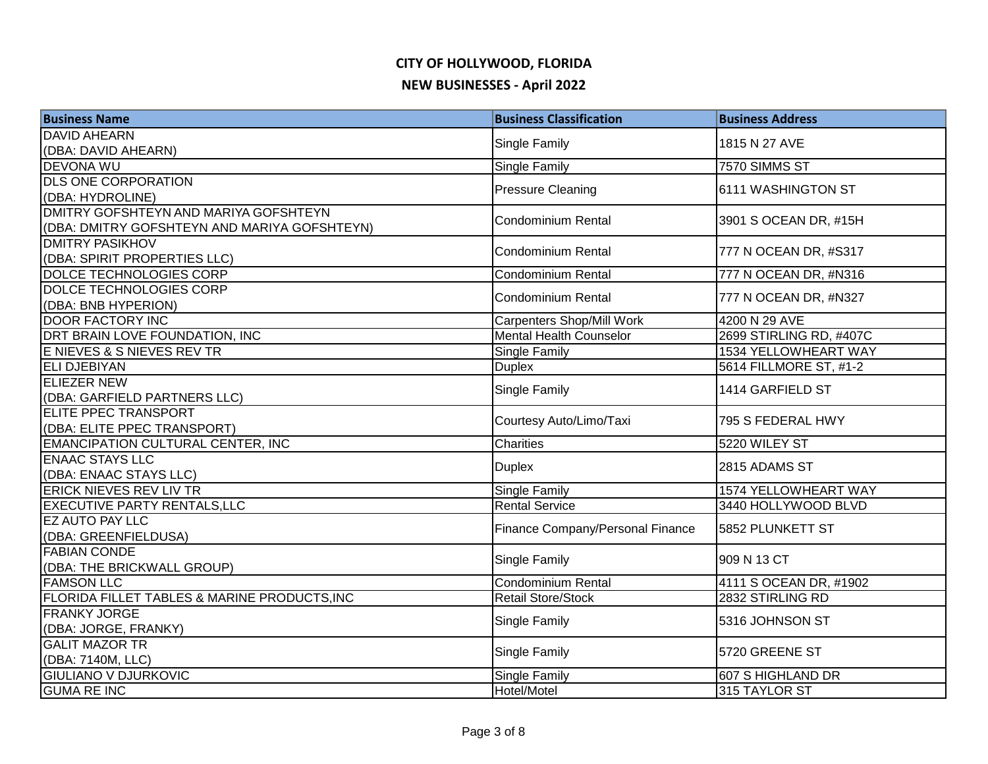| <b>Business Name</b>                         | <b>Business Classification</b>   | <b>Business Address</b> |
|----------------------------------------------|----------------------------------|-------------------------|
| <b>DAVID AHEARN</b>                          | <b>Single Family</b>             | 1815 N 27 AVE           |
| (DBA: DAVID AHEARN)                          |                                  |                         |
| <b>DEVONA WU</b>                             | Single Family                    | 7570 SIMMS ST           |
| <b>DLS ONE CORPORATION</b>                   | <b>Pressure Cleaning</b>         | 6111 WASHINGTON ST      |
| (DBA: HYDROLINE)                             |                                  |                         |
| DMITRY GOFSHTEYN AND MARIYA GOFSHTEYN        | Condominium Rental               | 3901 S OCEAN DR, #15H   |
| (DBA: DMITRY GOFSHTEYN AND MARIYA GOFSHTEYN) |                                  |                         |
| <b>DMITRY PASIKHOV</b>                       | <b>Condominium Rental</b>        | 777 N OCEAN DR, #S317   |
| (DBA: SPIRIT PROPERTIES LLC)                 |                                  |                         |
| DOLCE TECHNOLOGIES CORP                      | <b>Condominium Rental</b>        | 777 N OCEAN DR, #N316   |
| DOLCE TECHNOLOGIES CORP                      | <b>Condominium Rental</b>        | 777 N OCEAN DR, #N327   |
| (DBA: BNB HYPERION)                          |                                  |                         |
| <b>DOOR FACTORY INC</b>                      | <b>Carpenters Shop/Mill Work</b> | 4200 N 29 AVE           |
| DRT BRAIN LOVE FOUNDATION, INC               | <b>Mental Health Counselor</b>   | 2699 STIRLING RD, #407C |
| E NIEVES & S NIEVES REV TR                   | <b>Single Family</b>             | 1534 YELLOWHEART WAY    |
| <b>ELI DJEBIYAN</b>                          | <b>Duplex</b>                    | 5614 FILLMORE ST, #1-2  |
| <b>ELIEZER NEW</b>                           | <b>Single Family</b>             | 1414 GARFIELD ST        |
| (DBA: GARFIELD PARTNERS LLC)                 |                                  |                         |
| <b>ELITE PPEC TRANSPORT</b>                  | Courtesy Auto/Limo/Taxi          | 795 S FEDERAL HWY       |
| (DBA: ELITE PPEC TRANSPORT)                  |                                  |                         |
| <b>EMANCIPATION CULTURAL CENTER, INC</b>     | Charities                        | 5220 WILEY ST           |
| <b>ENAAC STAYS LLC</b>                       | <b>Duplex</b>                    | 2815 ADAMS ST           |
| (DBA: ENAAC STAYS LLC)                       |                                  |                         |
| <b>ERICK NIEVES REV LIV TR</b>               | <b>Single Family</b>             | 1574 YELLOWHEART WAY    |
| <b>EXECUTIVE PARTY RENTALS, LLC</b>          | <b>Rental Service</b>            | 3440 HOLLYWOOD BLVD     |
| <b>EZ AUTO PAY LLC</b>                       | Finance Company/Personal Finance | 5852 PLUNKETT ST        |
| (DBA: GREENFIELDUSA)                         |                                  |                         |
| <b>FABIAN CONDE</b>                          | <b>Single Family</b>             | 909 N 13 CT             |
| (DBA: THE BRICKWALL GROUP)                   |                                  |                         |
| <b>FAMSON LLC</b>                            | Condominium Rental               | 4111 S OCEAN DR, #1902  |
| FLORIDA FILLET TABLES & MARINE PRODUCTS, INC | <b>Retail Store/Stock</b>        | 2832 STIRLING RD        |
| <b>FRANKY JORGE</b>                          | Single Family                    | 5316 JOHNSON ST         |
| (DBA: JORGE, FRANKY)                         |                                  |                         |
| <b>GALIT MAZOR TR</b>                        | <b>Single Family</b>             | 5720 GREENE ST          |
| (DBA: 7140M, LLC)                            |                                  |                         |
| <b>GIULIANO V DJURKOVIC</b>                  | <b>Single Family</b>             | 607 S HIGHLAND DR       |
| <b>GUMA RE INC</b>                           | Hotel/Motel                      | 315 TAYLOR ST           |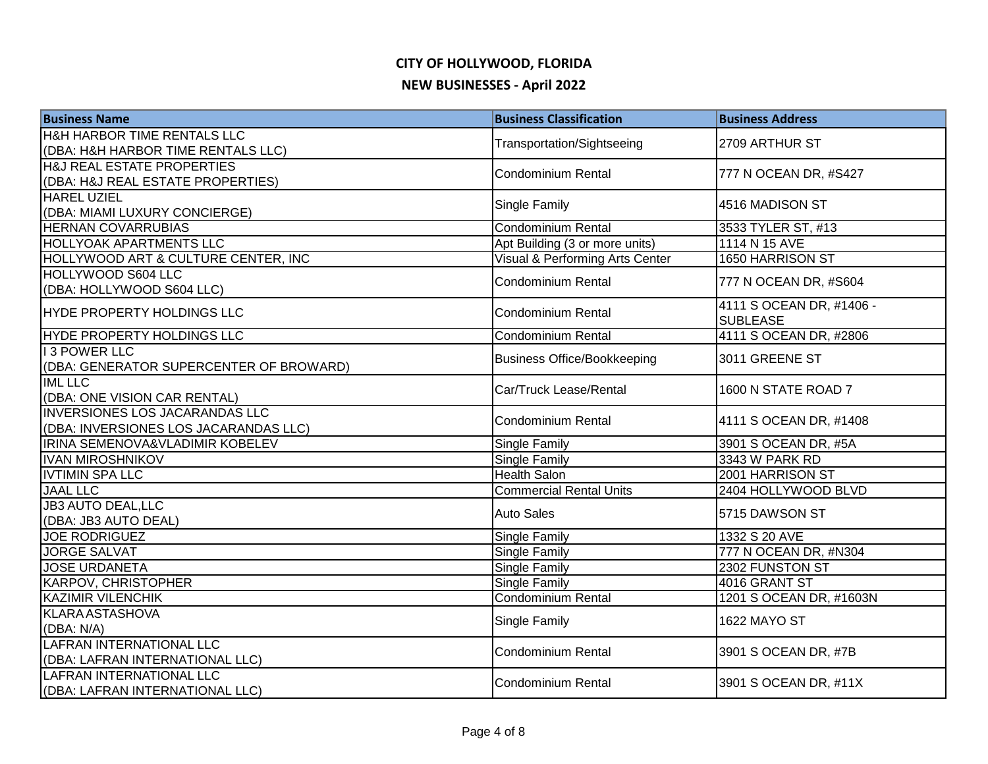| <b>Business Name</b>                    | <b>Business Classification</b>     | <b>Business Address</b>  |
|-----------------------------------------|------------------------------------|--------------------------|
| H&H HARBOR TIME RENTALS LLC             | Transportation/Sightseeing         | 2709 ARTHUR ST           |
| (DBA: H&H HARBOR TIME RENTALS LLC)      |                                    |                          |
| H&J REAL ESTATE PROPERTIES              | Condominium Rental                 | 777 N OCEAN DR, #S427    |
| (DBA: H&J REAL ESTATE PROPERTIES)       |                                    |                          |
| <b>HAREL UZIEL</b>                      | Single Family                      | 4516 MADISON ST          |
| (DBA: MIAMI LUXURY CONCIERGE)           |                                    |                          |
| <b>HERNAN COVARRUBIAS</b>               | <b>Condominium Rental</b>          | 3533 TYLER ST, #13       |
| HOLLYOAK APARTMENTS LLC                 | Apt Building (3 or more units)     | 1114 N 15 AVE            |
| HOLLYWOOD ART & CULTURE CENTER, INC     | Visual & Performing Arts Center    | 1650 HARRISON ST         |
| HOLLYWOOD S604 LLC                      | <b>Condominium Rental</b>          | 777 N OCEAN DR, #S604    |
| (DBA: HOLLYWOOD S604 LLC)               |                                    |                          |
| HYDE PROPERTY HOLDINGS LLC              | Condominium Rental                 | 4111 S OCEAN DR, #1406 - |
|                                         |                                    | <b>SUBLEASE</b>          |
| HYDE PROPERTY HOLDINGS LLC              | <b>Condominium Rental</b>          | 4111 S OCEAN DR, #2806   |
| <b>13 POWER LLC</b>                     | <b>Business Office/Bookkeeping</b> | 3011 GREENE ST           |
| (DBA: GENERATOR SUPERCENTER OF BROWARD) |                                    |                          |
| <b>IML LLC</b>                          | Car/Truck Lease/Rental             | 1600 N STATE ROAD 7      |
| (DBA: ONE VISION CAR RENTAL)            |                                    |                          |
| <b>INVERSIONES LOS JACARANDAS LLC</b>   | Condominium Rental                 | 4111 S OCEAN DR, #1408   |
| (DBA: INVERSIONES LOS JACARANDAS LLC)   |                                    |                          |
| IRINA SEMENOVA&VLADIMIR KOBELEV         | Single Family                      | 3901 S OCEAN DR, #5A     |
| <b>IVAN MIROSHNIKOV</b>                 | <b>Single Family</b>               | 3343 W PARK RD           |
| <b>IVTIMIN SPA LLC</b>                  | <b>Health Salon</b>                | 2001 HARRISON ST         |
| <b>JAAL LLC</b>                         | <b>Commercial Rental Units</b>     | 2404 HOLLYWOOD BLVD      |
| <b>JB3 AUTO DEAL, LLC</b>               | <b>Auto Sales</b>                  | 5715 DAWSON ST           |
| (DBA: JB3 AUTO DEAL)                    |                                    |                          |
| <b>JOE RODRIGUEZ</b>                    | Single Family                      | 1332 S 20 AVE            |
| <b>JORGE SALVAT</b>                     | <b>Single Family</b>               | 777 N OCEAN DR, #N304    |
| <b>JOSE URDANETA</b>                    | <b>Single Family</b>               | 2302 FUNSTON ST          |
| <b>KARPOV, CHRISTOPHER</b>              | Single Family                      | 4016 GRANT ST            |
| <b>KAZIMIR VILENCHIK</b>                | <b>Condominium Rental</b>          | 1201 S OCEAN DR, #1603N  |
| <b>KLARA ASTASHOVA</b>                  | <b>Single Family</b>               | <b>1622 MAYO ST</b>      |
| (DBA: N/A)                              |                                    |                          |
| LAFRAN INTERNATIONAL LLC                | Condominium Rental                 | 3901 S OCEAN DR, #7B     |
| (DBA: LAFRAN INTERNATIONAL LLC)         |                                    |                          |
| LAFRAN INTERNATIONAL LLC                | <b>Condominium Rental</b>          | 3901 S OCEAN DR, #11X    |
| (DBA: LAFRAN INTERNATIONAL LLC)         |                                    |                          |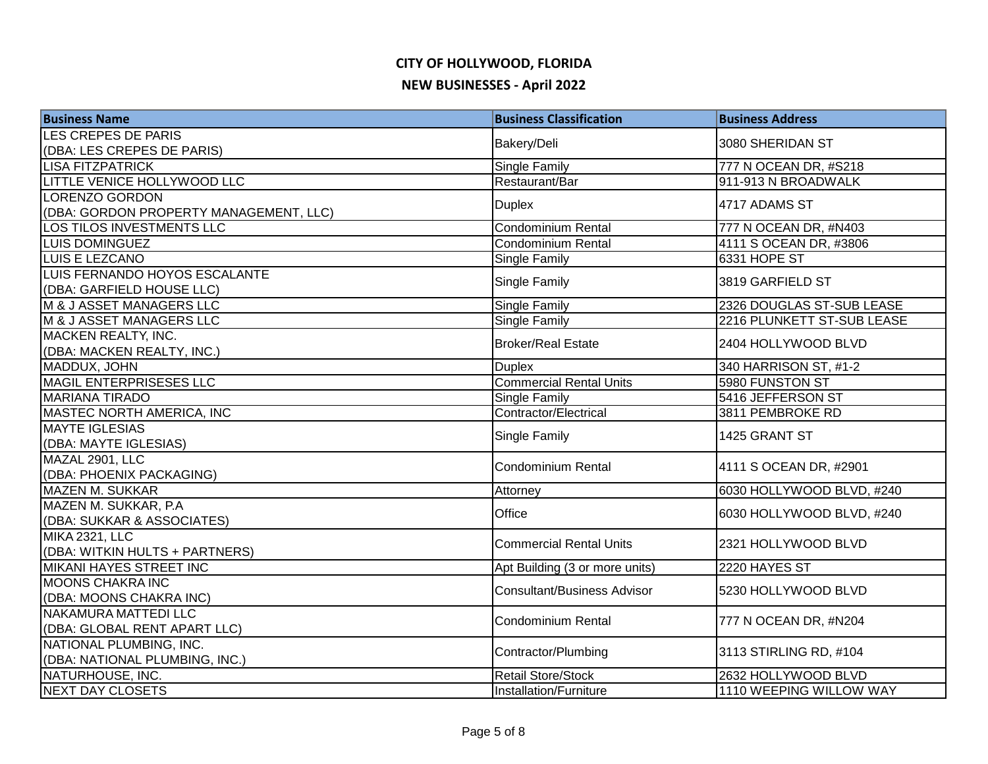| <b>Business Name</b>                   | <b>Business Classification</b>     | <b>Business Address</b>    |
|----------------------------------------|------------------------------------|----------------------------|
| LES CREPES DE PARIS                    |                                    | 3080 SHERIDAN ST           |
| (DBA: LES CREPES DE PARIS)             | Bakery/Deli                        |                            |
| <b>LISA FITZPATRICK</b>                | <b>Single Family</b>               | 777 N OCEAN DR, #S218      |
| LITTLE VENICE HOLLYWOOD LLC            | Restaurant/Bar                     | 911-913 N BROADWALK        |
| LORENZO GORDON                         | <b>Duplex</b>                      | 4717 ADAMS ST              |
| (DBA: GORDON PROPERTY MANAGEMENT, LLC) |                                    |                            |
| LOS TILOS INVESTMENTS LLC              | Condominium Rental                 | 777 N OCEAN DR, #N403      |
| <b>LUIS DOMINGUEZ</b>                  | <b>Condominium Rental</b>          | 4111 S OCEAN DR, #3806     |
| <b>LUIS E LEZCANO</b>                  | Single Family                      | 6331 HOPE ST               |
| LUIS FERNANDO HOYOS ESCALANTE          | Single Family                      | 3819 GARFIELD ST           |
| (DBA: GARFIELD HOUSE LLC)              |                                    |                            |
| M & J ASSET MANAGERS LLC               | <b>Single Family</b>               | 2326 DOUGLAS ST-SUB LEASE  |
| M & J ASSET MANAGERS LLC               | Single Family                      | 2216 PLUNKETT ST-SUB LEASE |
| MACKEN REALTY, INC.                    | <b>Broker/Real Estate</b>          | 2404 HOLLYWOOD BLVD        |
| (DBA: MACKEN REALTY, INC.)             |                                    |                            |
| MADDUX, JOHN                           | <b>Duplex</b>                      | 340 HARRISON ST, #1-2      |
| <b>MAGIL ENTERPRISESES LLC</b>         | <b>Commercial Rental Units</b>     | 5980 FUNSTON ST            |
| <b>MARIANA TIRADO</b>                  | <b>Single Family</b>               | 5416 JEFFERSON ST          |
| MASTEC NORTH AMERICA, INC              | Contractor/Electrical              | 3811 PEMBROKE RD           |
| <b>MAYTE IGLESIAS</b>                  | <b>Single Family</b>               | 1425 GRANT ST              |
| (DBA: MAYTE IGLESIAS)                  |                                    |                            |
| MAZAL 2901, LLC                        | <b>Condominium Rental</b>          | 4111 S OCEAN DR, #2901     |
| (DBA: PHOENIX PACKAGING)               |                                    |                            |
| <b>MAZEN M. SUKKAR</b>                 | Attorney                           | 6030 HOLLYWOOD BLVD, #240  |
| MAZEN M. SUKKAR, P.A.                  | Office                             | 6030 HOLLYWOOD BLVD, #240  |
| (DBA: SUKKAR & ASSOCIATES)             |                                    |                            |
| <b>MIKA 2321, LLC</b>                  | <b>Commercial Rental Units</b>     | 2321 HOLLYWOOD BLVD        |
| (DBA: WITKIN HULTS + PARTNERS)         |                                    |                            |
| MIKANI HAYES STREET INC                | Apt Building (3 or more units)     | 2220 HAYES ST              |
| <b>MOONS CHAKRA INC</b>                | <b>Consultant/Business Advisor</b> | 5230 HOLLYWOOD BLVD        |
| (DBA: MOONS CHAKRA INC)                |                                    |                            |
| NAKAMURA MATTEDI LLC                   | <b>Condominium Rental</b>          | 777 N OCEAN DR, #N204      |
| (DBA: GLOBAL RENT APART LLC)           |                                    |                            |
| NATIONAL PLUMBING, INC.                | Contractor/Plumbing                | 3113 STIRLING RD, #104     |
| (DBA: NATIONAL PLUMBING, INC.)         |                                    |                            |
| NATURHOUSE, INC.                       | <b>Retail Store/Stock</b>          | 2632 HOLLYWOOD BLVD        |
| <b>NEXT DAY CLOSETS</b>                | Installation/Furniture             | 1110 WEEPING WILLOW WAY    |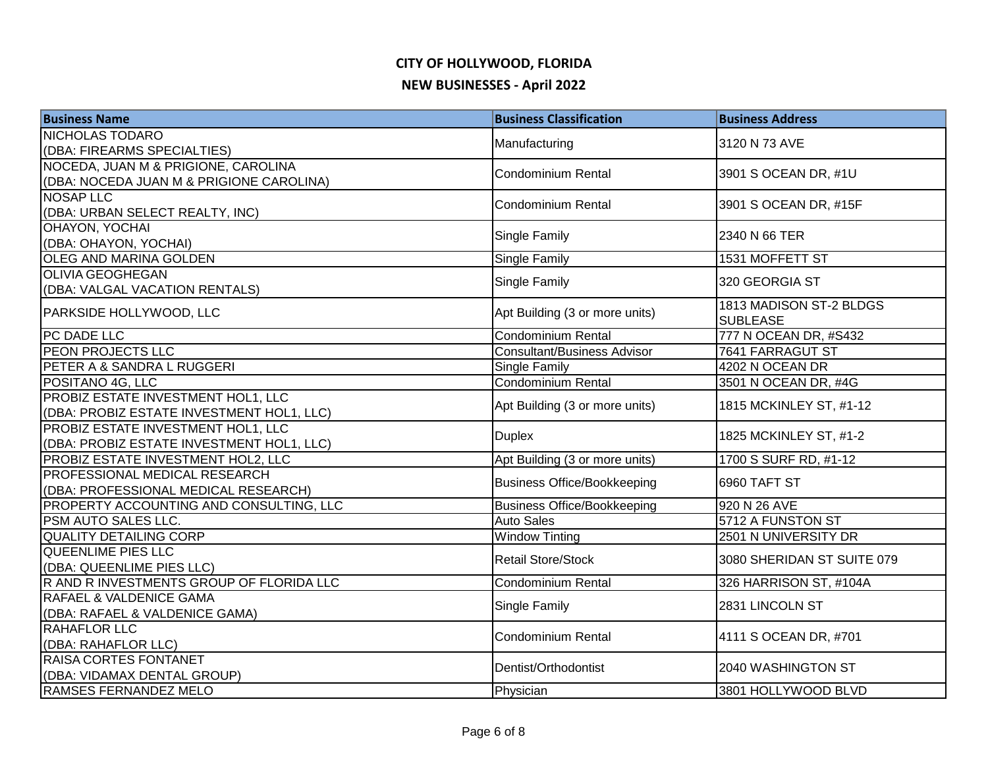| <b>Business Name</b>                                  | <b>Business Classification</b>     | <b>Business Address</b>    |
|-------------------------------------------------------|------------------------------------|----------------------------|
| <b>NICHOLAS TODARO</b>                                | Manufacturing                      | 3120 N 73 AVE              |
| (DBA: FIREARMS SPECIALTIES)                           |                                    |                            |
| NOCEDA, JUAN M & PRIGIONE, CAROLINA                   | <b>Condominium Rental</b>          | 3901 S OCEAN DR, #1U       |
| (DBA: NOCEDA JUAN M & PRIGIONE CAROLINA)              |                                    |                            |
| <b>NOSAP LLC</b>                                      | <b>Condominium Rental</b>          | 3901 S OCEAN DR, #15F      |
| (DBA: URBAN SELECT REALTY, INC)                       |                                    |                            |
| <b>OHAYON, YOCHAI</b>                                 | Single Family                      | 2340 N 66 TER              |
| (DBA: OHAYON, YOCHAI)<br>OLEG AND MARINA GOLDEN       |                                    |                            |
| <b>OLIVIA GEOGHEGAN</b>                               | Single Family                      | 1531 MOFFETT ST            |
| (DBA: VALGAL VACATION RENTALS)                        | Single Family                      | 320 GEORGIA ST             |
|                                                       |                                    | 1813 MADISON ST-2 BLDGS    |
| PARKSIDE HOLLYWOOD, LLC                               | Apt Building (3 or more units)     | <b>SUBLEASE</b>            |
| PC DADE LLC                                           | Condominium Rental                 | 777 N OCEAN DR, #S432      |
| PEON PROJECTS LLC                                     | <b>Consultant/Business Advisor</b> | 7641 FARRAGUT ST           |
| PETER A & SANDRA L RUGGERI                            | <b>Single Family</b>               | 4202 N OCEAN DR            |
| POSITANO 4G, LLC                                      | Condominium Rental                 | 3501 N OCEAN DR, #4G       |
| PROBIZ ESTATE INVESTMENT HOL1, LLC                    |                                    |                            |
| (DBA: PROBIZ ESTATE INVESTMENT HOL1, LLC)             | Apt Building (3 or more units)     | 1815 MCKINLEY ST, #1-12    |
| PROBIZ ESTATE INVESTMENT HOL1, LLC                    | <b>Duplex</b>                      | 1825 MCKINLEY ST, #1-2     |
| (DBA: PROBIZ ESTATE INVESTMENT HOL1, LLC)             |                                    |                            |
| PROBIZ ESTATE INVESTMENT HOL2, LLC                    | Apt Building (3 or more units)     | 1700 S SURF RD, #1-12      |
| PROFESSIONAL MEDICAL RESEARCH                         | <b>Business Office/Bookkeeping</b> | 6960 TAFT ST               |
| (DBA: PROFESSIONAL MEDICAL RESEARCH)                  |                                    |                            |
| PROPERTY ACCOUNTING AND CONSULTING, LLC               | <b>Business Office/Bookkeeping</b> | 920 N 26 AVE               |
| PSM AUTO SALES LLC.                                   | <b>Auto Sales</b>                  | 5712 A FUNSTON ST          |
| <b>QUALITY DETAILING CORP</b>                         | <b>Window Tinting</b>              | 2501 N UNIVERSITY DR       |
| <b>QUEENLIME PIES LLC</b>                             | <b>Retail Store/Stock</b>          | 3080 SHERIDAN ST SUITE 079 |
| (DBA: QUEENLIME PIES LLC)                             |                                    |                            |
| R AND R INVESTMENTS GROUP OF FLORIDA LLC              | Condominium Rental                 | 326 HARRISON ST, #104A     |
| RAFAEL & VALDENICE GAMA                               | Single Family                      | 2831 LINCOLN ST            |
| (DBA: RAFAEL & VALDENICE GAMA)<br><b>RAHAFLOR LLC</b> |                                    |                            |
| (DBA: RAHAFLOR LLC)                                   | <b>Condominium Rental</b>          | 4111 S OCEAN DR, #701      |
| RAISA CORTES FONTANET                                 |                                    |                            |
| (DBA: VIDAMAX DENTAL GROUP)                           | Dentist/Orthodontist               | 2040 WASHINGTON ST         |
| RAMSES FERNANDEZ MELO                                 | Physician                          | 3801 HOLLYWOOD BLVD        |
|                                                       |                                    |                            |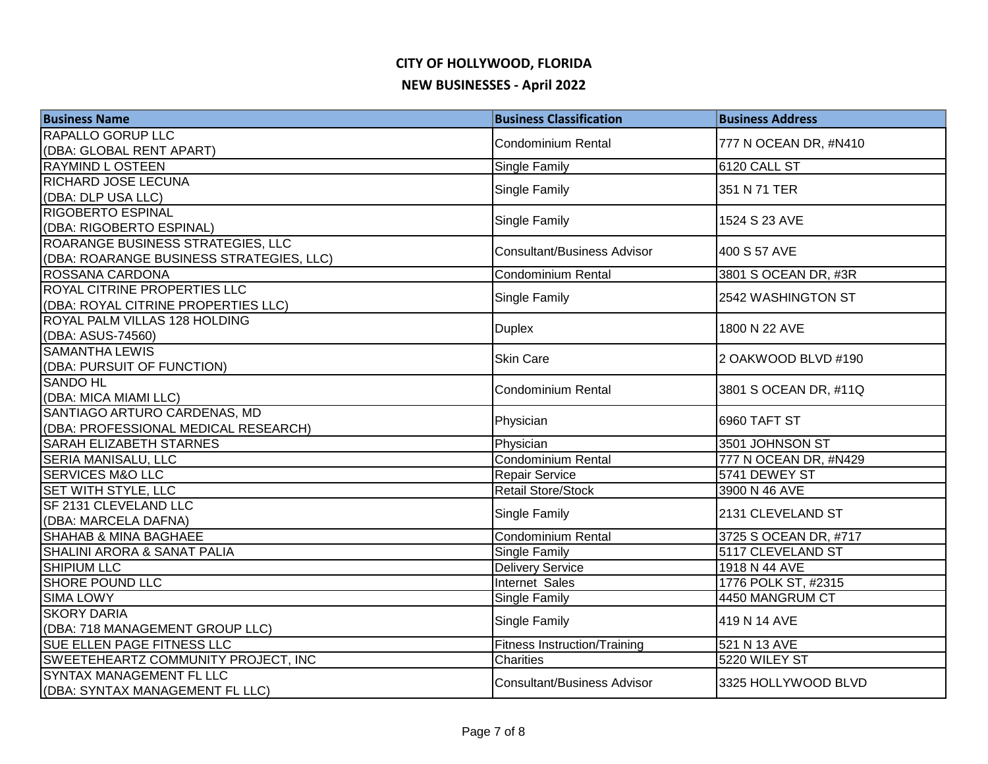| <b>Business Name</b>                     | <b>Business Classification</b>      | <b>Business Address</b> |
|------------------------------------------|-------------------------------------|-------------------------|
| <b>RAPALLO GORUP LLC</b>                 | <b>Condominium Rental</b>           | 777 N OCEAN DR, #N410   |
| (DBA: GLOBAL RENT APART)                 |                                     |                         |
| <b>RAYMIND L OSTEEN</b>                  | Single Family                       | 6120 CALL ST            |
| RICHARD JOSE LECUNA                      | Single Family                       | 351 N 71 TER            |
| (DBA: DLP USA LLC)                       |                                     |                         |
| <b>RIGOBERTO ESPINAL</b>                 | Single Family                       | 1524 S 23 AVE           |
| (DBA: RIGOBERTO ESPINAL)                 |                                     |                         |
| ROARANGE BUSINESS STRATEGIES, LLC        | <b>Consultant/Business Advisor</b>  | 400 S 57 AVE            |
| (DBA: ROARANGE BUSINESS STRATEGIES, LLC) |                                     |                         |
| ROSSANA CARDONA                          | <b>Condominium Rental</b>           | 3801 S OCEAN DR, #3R    |
| ROYAL CITRINE PROPERTIES LLC             | Single Family                       | 2542 WASHINGTON ST      |
| (DBA: ROYAL CITRINE PROPERTIES LLC)      |                                     |                         |
| ROYAL PALM VILLAS 128 HOLDING            | <b>Duplex</b>                       | 1800 N 22 AVE           |
| (DBA: ASUS-74560)                        |                                     |                         |
| <b>SAMANTHA LEWIS</b>                    | <b>Skin Care</b>                    | 2 OAKWOOD BLVD #190     |
| (DBA: PURSUIT OF FUNCTION)               |                                     |                         |
| <b>SANDO HL</b>                          | <b>Condominium Rental</b>           | 3801 S OCEAN DR, #11Q   |
| (DBA: MICA MIAMI LLC)                    |                                     |                         |
| SANTIAGO ARTURO CARDENAS, MD             | Physician                           | 6960 TAFT ST            |
| (DBA: PROFESSIONAL MEDICAL RESEARCH)     |                                     |                         |
| <b>SARAH ELIZABETH STARNES</b>           | Physician                           | 3501 JOHNSON ST         |
| <b>SERIA MANISALU, LLC</b>               | Condominium Rental                  | 777 N OCEAN DR, #N429   |
| <b>SERVICES M&amp;O LLC</b>              | Repair Service                      | 5741 DEWEY ST           |
| SET WITH STYLE, LLC                      | <b>Retail Store/Stock</b>           | 3900 N 46 AVE           |
| SF 2131 CLEVELAND LLC                    | Single Family                       | 2131 CLEVELAND ST       |
| (DBA: MARCELA DAFNA)                     |                                     |                         |
| <b>SHAHAB &amp; MINA BAGHAEE</b>         | Condominium Rental                  | 3725 S OCEAN DR, #717   |
| SHALINI ARORA & SANAT PALIA              | Single Family                       | 5117 CLEVELAND ST       |
| <b>SHIPIUM LLC</b>                       | <b>Delivery Service</b>             | 1918 N 44 AVE           |
| <b>SHORE POUND LLC</b>                   | Internet Sales                      | 1776 POLK ST, #2315     |
| <b>SIMA LOWY</b>                         | Single Family                       | 4450 MANGRUM CT         |
| <b>SKORY DARIA</b>                       | Single Family                       | 419 N 14 AVE            |
| (DBA: 718 MANAGEMENT GROUP LLC)          |                                     |                         |
| SUE ELLEN PAGE FITNESS LLC               | <b>Fitness Instruction/Training</b> | 521 N 13 AVE            |
| SWEETEHEARTZ COMMUNITY PROJECT, INC      | Charities                           | 5220 WILEY ST           |
| SYNTAX MANAGEMENT FL LLC                 | <b>Consultant/Business Advisor</b>  | 3325 HOLLYWOOD BLVD     |
| (DBA: SYNTAX MANAGEMENT FL LLC)          |                                     |                         |